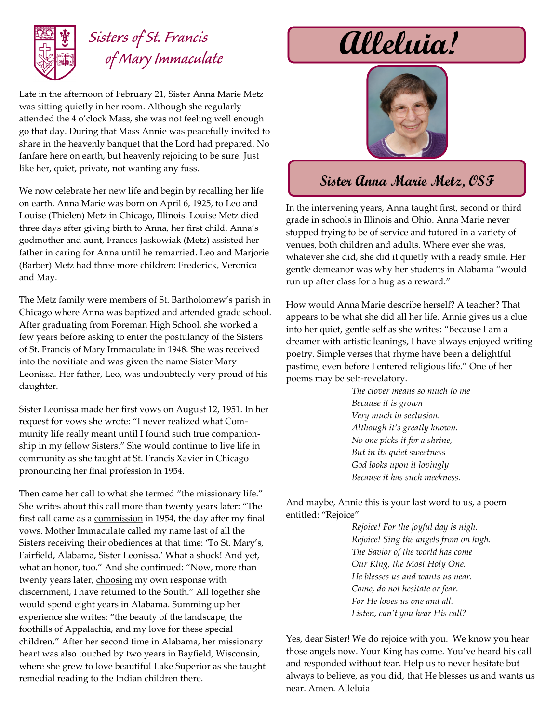

## *Sisters of St. Francis of Mary Immaculate*

Late in the afternoon of February 21, Sister Anna Marie Metz was sitting quietly in her room. Although she regularly attended the 4 o'clock Mass, she was not feeling well enough go that day. During that Mass Annie was peacefully invited to share in the heavenly banquet that the Lord had prepared. No fanfare here on earth, but heavenly rejoicing to be sure! Just like her, quiet, private, not wanting any fuss.

We now celebrate her new life and begin by recalling her life on earth. Anna Marie was born on April 6, 1925, to Leo and Louise (Thielen) Metz in Chicago, Illinois. Louise Metz died three days after giving birth to Anna, her first child. Anna's godmother and aunt, Frances Jaskowiak (Metz) assisted her father in caring for Anna until he remarried. Leo and Marjorie (Barber) Metz had three more children: Frederick, Veronica and May.

The Metz family were members of St. Bartholomew's parish in Chicago where Anna was baptized and attended grade school. After graduating from Foreman High School, she worked a few years before asking to enter the postulancy of the Sisters of St. Francis of Mary Immaculate in 1948. She was received into the novitiate and was given the name Sister Mary Leonissa. Her father, Leo, was undoubtedly very proud of his daughter.

Sister Leonissa made her first vows on August 12, 1951. In her request for vows she wrote: "I never realized what Community life really meant until I found such true companionship in my fellow Sisters." She would continue to live life in community as she taught at St. Francis Xavier in Chicago pronouncing her final profession in 1954.

Then came her call to what she termed "the missionary life." She writes about this call more than twenty years later: "The first call came as a commission in 1954, the day after my final vows. Mother Immaculate called my name last of all the Sisters receiving their obediences at that time: 'To St. Mary's, Fairfield, Alabama, Sister Leonissa.' What a shock! And yet, what an honor, too." And she continued: "Now, more than twenty years later, choosing my own response with discernment, I have returned to the South." All together she would spend eight years in Alabama. Summing up her experience she writes: "the beauty of the landscape, the foothills of Appalachia, and my love for these special children." After her second time in Alabama, her missionary heart was also touched by two years in Bayfield, Wisconsin, where she grew to love beautiful Lake Superior as she taught remedial reading to the Indian children there.

## **Alleluia!**



## **Sister Anna Marie Metz, OSF**

In the intervening years, Anna taught first, second or third grade in schools in Illinois and Ohio. Anna Marie never stopped trying to be of service and tutored in a variety of venues, both children and adults. Where ever she was, whatever she did, she did it quietly with a ready smile. Her gentle demeanor was why her students in Alabama "would run up after class for a hug as a reward."

How would Anna Marie describe herself? A teacher? That appears to be what she did all her life. Annie gives us a clue into her quiet, gentle self as she writes: "Because I am a dreamer with artistic leanings, I have always enjoyed writing poetry. Simple verses that rhyme have been a delightful pastime, even before I entered religious life." One of her poems may be self-revelatory.

> *The clover means so much to me Because it is grown Very much in seclusion. Although it's greatly known. No one picks it for a shrine, But in its quiet sweetness God looks upon it lovingly Because it has such meekness.*

And maybe, Annie this is your last word to us, a poem entitled: "Rejoice"

> *Rejoice! For the joyful day is nigh. Rejoice! Sing the angels from on high. The Savior of the world has come Our King, the Most Holy One. He blesses us and wants us near. Come, do not hesitate or fear. For He loves us one and all. Listen, can't you hear His call?*

Yes, dear Sister! We do rejoice with you. We know you hear those angels now. Your King has come. You've heard his call and responded without fear. Help us to never hesitate but always to believe, as you did, that He blesses us and wants us near. Amen. Alleluia